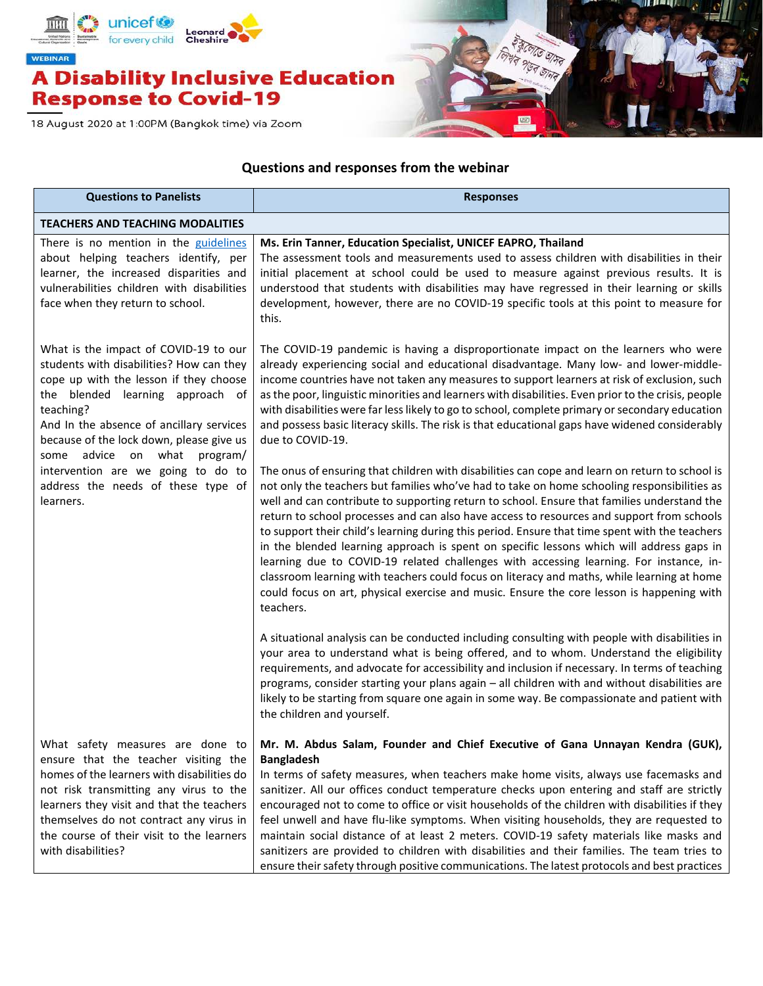

## **Questions and responses from the webinar**

| <b>Questions to Panelists</b>                                                                                                                                                                                                                                                                           | <b>Responses</b>                                                                                                                                                                                                                                                                                                                                                                                                                                                                                                                                                                                                                                                                                                                                                                                                                                                                          |
|---------------------------------------------------------------------------------------------------------------------------------------------------------------------------------------------------------------------------------------------------------------------------------------------------------|-------------------------------------------------------------------------------------------------------------------------------------------------------------------------------------------------------------------------------------------------------------------------------------------------------------------------------------------------------------------------------------------------------------------------------------------------------------------------------------------------------------------------------------------------------------------------------------------------------------------------------------------------------------------------------------------------------------------------------------------------------------------------------------------------------------------------------------------------------------------------------------------|
| <b>TEACHERS AND TEACHING MODALITIES</b>                                                                                                                                                                                                                                                                 |                                                                                                                                                                                                                                                                                                                                                                                                                                                                                                                                                                                                                                                                                                                                                                                                                                                                                           |
| There is no mention in the guidelines<br>about helping teachers identify, per<br>learner, the increased disparities and<br>vulnerabilities children with disabilities<br>face when they return to school.                                                                                               | Ms. Erin Tanner, Education Specialist, UNICEF EAPRO, Thailand<br>The assessment tools and measurements used to assess children with disabilities in their<br>initial placement at school could be used to measure against previous results. It is<br>understood that students with disabilities may have regressed in their learning or skills<br>development, however, there are no COVID-19 specific tools at this point to measure for<br>this.                                                                                                                                                                                                                                                                                                                                                                                                                                        |
| What is the impact of COVID-19 to our<br>students with disabilities? How can they<br>cope up with the lesson if they choose<br>the blended learning approach of<br>teaching?<br>And In the absence of ancillary services<br>because of the lock down, please give us<br>some advice on what<br>program/ | The COVID-19 pandemic is having a disproportionate impact on the learners who were<br>already experiencing social and educational disadvantage. Many low- and lower-middle-<br>income countries have not taken any measures to support learners at risk of exclusion, such<br>as the poor, linguistic minorities and learners with disabilities. Even prior to the crisis, people<br>with disabilities were far less likely to go to school, complete primary or secondary education<br>and possess basic literacy skills. The risk is that educational gaps have widened considerably<br>due to COVID-19.                                                                                                                                                                                                                                                                                |
| intervention are we going to do to<br>address the needs of these type of<br>learners.                                                                                                                                                                                                                   | The onus of ensuring that children with disabilities can cope and learn on return to school is<br>not only the teachers but families who've had to take on home schooling responsibilities as<br>well and can contribute to supporting return to school. Ensure that families understand the<br>return to school processes and can also have access to resources and support from schools<br>to support their child's learning during this period. Ensure that time spent with the teachers<br>in the blended learning approach is spent on specific lessons which will address gaps in<br>learning due to COVID-19 related challenges with accessing learning. For instance, in-<br>classroom learning with teachers could focus on literacy and maths, while learning at home<br>could focus on art, physical exercise and music. Ensure the core lesson is happening with<br>teachers. |
|                                                                                                                                                                                                                                                                                                         | A situational analysis can be conducted including consulting with people with disabilities in<br>your area to understand what is being offered, and to whom. Understand the eligibility<br>requirements, and advocate for accessibility and inclusion if necessary. In terms of teaching<br>programs, consider starting your plans again - all children with and without disabilities are<br>likely to be starting from square one again in some way. Be compassionate and patient with<br>the children and yourself.                                                                                                                                                                                                                                                                                                                                                                     |
| What safety measures are done to<br>ensure that the teacher visiting the                                                                                                                                                                                                                                | Mr. M. Abdus Salam, Founder and Chief Executive of Gana Unnayan Kendra (GUK),<br><b>Bangladesh</b>                                                                                                                                                                                                                                                                                                                                                                                                                                                                                                                                                                                                                                                                                                                                                                                        |
| homes of the learners with disabilities do<br>not risk transmitting any virus to the<br>learners they visit and that the teachers<br>themselves do not contract any virus in<br>the course of their visit to the learners<br>with disabilities?                                                         | In terms of safety measures, when teachers make home visits, always use facemasks and<br>sanitizer. All our offices conduct temperature checks upon entering and staff are strictly<br>encouraged not to come to office or visit households of the children with disabilities if they<br>feel unwell and have flu-like symptoms. When visiting households, they are requested to<br>maintain social distance of at least 2 meters. COVID-19 safety materials like masks and<br>sanitizers are provided to children with disabilities and their families. The team tries to<br>ensure their safety through positive communications. The latest protocols and best practices                                                                                                                                                                                                                |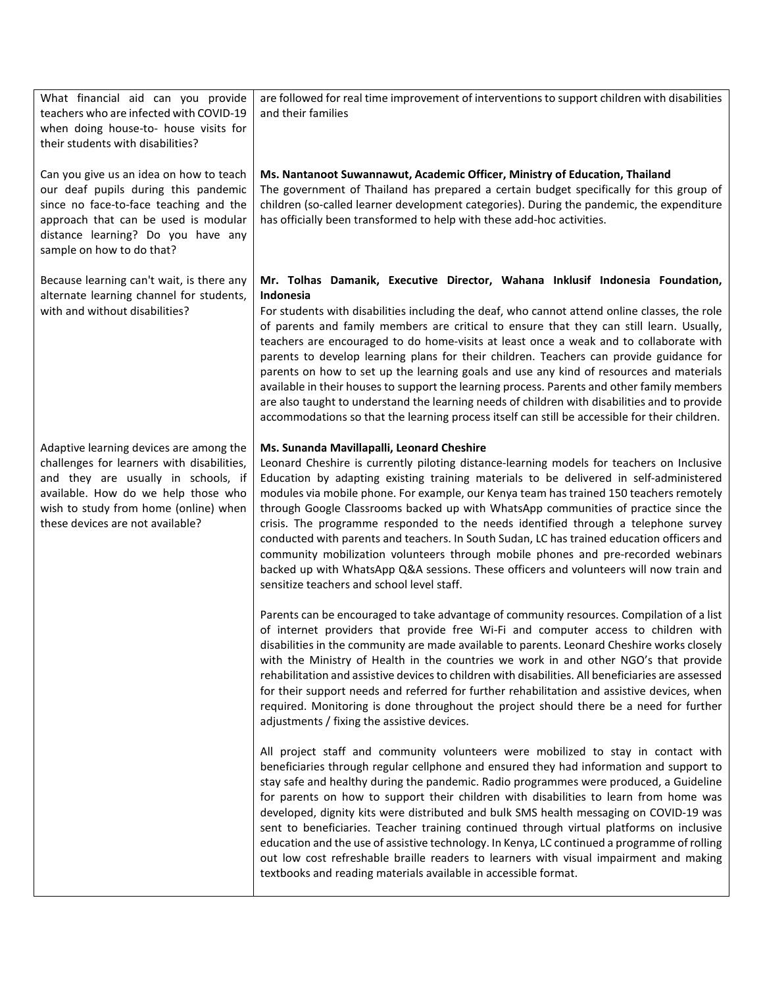| their students with disabilities?                                                                                                                                                                                                                |                                                                                                                                                                                                                                                                                                                                                                                                                                                                                                                                                                                                                                                                                                                                                                                                                                                                           |
|--------------------------------------------------------------------------------------------------------------------------------------------------------------------------------------------------------------------------------------------------|---------------------------------------------------------------------------------------------------------------------------------------------------------------------------------------------------------------------------------------------------------------------------------------------------------------------------------------------------------------------------------------------------------------------------------------------------------------------------------------------------------------------------------------------------------------------------------------------------------------------------------------------------------------------------------------------------------------------------------------------------------------------------------------------------------------------------------------------------------------------------|
| Can you give us an idea on how to teach<br>our deaf pupils during this pandemic<br>since no face-to-face teaching and the<br>approach that can be used is modular<br>distance learning? Do you have any<br>sample on how to do that?             | Ms. Nantanoot Suwannawut, Academic Officer, Ministry of Education, Thailand<br>The government of Thailand has prepared a certain budget specifically for this group of<br>children (so-called learner development categories). During the pandemic, the expenditure<br>has officially been transformed to help with these add-hoc activities.                                                                                                                                                                                                                                                                                                                                                                                                                                                                                                                             |
| Because learning can't wait, is there any<br>alternate learning channel for students,<br>with and without disabilities?                                                                                                                          | Mr. Tolhas Damanik, Executive Director, Wahana Inklusif Indonesia Foundation,<br>Indonesia<br>For students with disabilities including the deaf, who cannot attend online classes, the role<br>of parents and family members are critical to ensure that they can still learn. Usually,<br>teachers are encouraged to do home-visits at least once a weak and to collaborate with<br>parents to develop learning plans for their children. Teachers can provide guidance for<br>parents on how to set up the learning goals and use any kind of resources and materials<br>available in their houses to support the learning process. Parents and other family members<br>are also taught to understand the learning needs of children with disabilities and to provide<br>accommodations so that the learning process itself can still be accessible for their children. |
| Adaptive learning devices are among the<br>challenges for learners with disabilities,<br>and they are usually in schools, if<br>available. How do we help those who<br>wish to study from home (online) when<br>these devices are not available? | Ms. Sunanda Mavillapalli, Leonard Cheshire<br>Leonard Cheshire is currently piloting distance-learning models for teachers on Inclusive<br>Education by adapting existing training materials to be delivered in self-administered<br>modules via mobile phone. For example, our Kenya team has trained 150 teachers remotely<br>through Google Classrooms backed up with WhatsApp communities of practice since the<br>crisis. The programme responded to the needs identified through a telephone survey<br>conducted with parents and teachers. In South Sudan, LC has trained education officers and<br>community mobilization volunteers through mobile phones and pre-recorded webinars<br>backed up with WhatsApp Q&A sessions. These officers and volunteers will now train and<br>sensitize teachers and school level staff.                                      |
|                                                                                                                                                                                                                                                  | Parents can be encouraged to take advantage of community resources. Compilation of a list<br>of internet providers that provide free Wi-Fi and computer access to children with<br>disabilities in the community are made available to parents. Leonard Cheshire works closely<br>with the Ministry of Health in the countries we work in and other NGO's that provide<br>rehabilitation and assistive devices to children with disabilities. All beneficiaries are assessed<br>for their support needs and referred for further rehabilitation and assistive devices, when<br>required. Monitoring is done throughout the project should there be a need for further<br>adjustments / fixing the assistive devices.                                                                                                                                                      |
|                                                                                                                                                                                                                                                  | All project staff and community volunteers were mobilized to stay in contact with<br>beneficiaries through regular cellphone and ensured they had information and support to<br>stay safe and healthy during the pandemic. Radio programmes were produced, a Guideline<br>for parents on how to support their children with disabilities to learn from home was<br>developed, dignity kits were distributed and bulk SMS health messaging on COVID-19 was<br>sent to beneficiaries. Teacher training continued through virtual platforms on inclusive<br>education and the use of assistive technology. In Kenya, LC continued a programme of rolling<br>out low cost refreshable braille readers to learners with visual impairment and making<br>textbooks and reading materials available in accessible format.                                                        |

and their families

are followed for real time improvement of interventions to support children with disabilities

What financial aid can you provide teachers who are infected with COVID-19 when doing house-to- house visits for